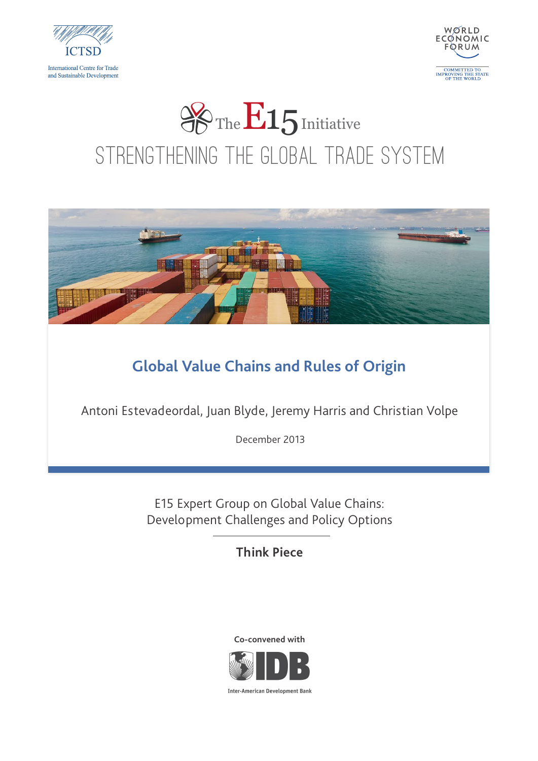



# Strengthening the Global Trade System **So The E15** Initiative



#### **Global Value Chains and Rules of Origin**

Antoni Estevadeordal, Juan Blyde, Jeremy Harris and Christian Volpe

December 2013

E15 Expert Group on Global Value Chains: Development Challenges and Policy Options

**Think Piece**





**Inter-American Development Bank**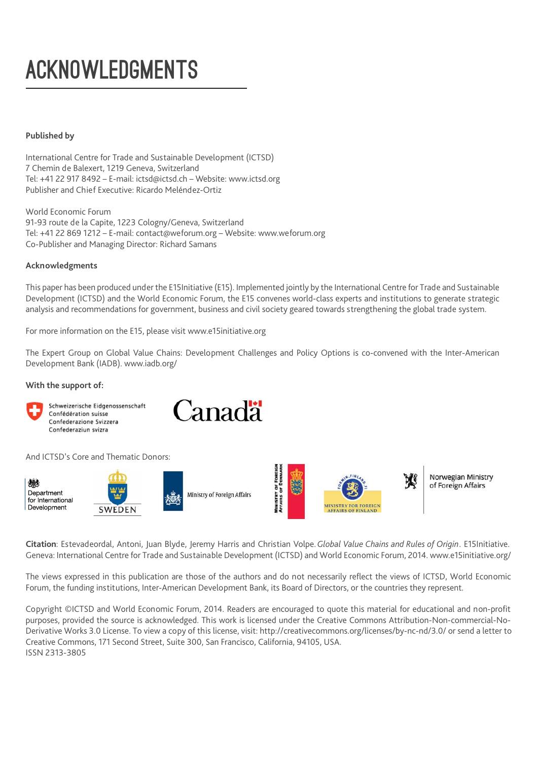## ACKNOWLEDGMENTS

#### **Published by**

International Centre for Trade and Sustainable Development (ICTSD) 7 Chemin de Balexert, 1219 Geneva, Switzerland Tel: +41 22 917 8492 – E-mail: ictsd@ictsd.ch – Website: www.ictsd.org Publisher and Chief Executive: Ricardo Meléndez-Ortiz

World Economic Forum 91-93 route de la Capite, 1223 Cologny/Geneva, Switzerland Tel: +41 22 869 1212 – E-mail: contact@weforum.org – Website: www.weforum.org Co-Publisher and Managing Director: Richard Samans

#### **Acknowledgments**

This paper has been produced under the E15Initiative (E15). Implemented jointly by the International Centre for Trade and Sustainable Development (ICTSD) and the World Economic Forum, the E15 convenes world-class experts and institutions to generate strategic analysis and recommendations for government, business and civil society geared towards strengthening the global trade system.

For more information on the E15, please visit www.e15initiative.org

The Expert Group on Global Value Chains: Development Challenges and Policy Options is co-convened with the Inter-American Development Bank (IADB). www.iadb.org/

#### **With the support of:**

Schweizerische Eidgenossenschaft Confédération suisse Confederazione Svizzera Confederaziun svizra

Canadä

And ICTSD's Core and Thematic Donors:



**Citation**: Estevadeordal, Antoni, Juan Blyde, Jeremy Harris and Christian Volpe.*Global Value Chains and Rules of Origin*. E15Initiative. Geneva: International Centre for Trade and Sustainable Development (ICTSD) and World Economic Forum, 2014. www.e15initiative.org/

The views expressed in this publication are those of the authors and do not necessarily reflect the views of ICTSD, World Economic Forum, the funding institutions, Inter-American Development Bank, its Board of Directors, or the countries they represent.

Copyright ©ICTSD and World Economic Forum, 2014. Readers are encouraged to quote this material for educational and non-profit purposes, provided the source is acknowledged. This work is licensed under the Creative Commons Attribution-Non-commercial-No-Derivative Works 3.0 License. To view a copy of this license, visit: http://creativecommons.org/licenses/by-nc-nd/3.0/ or send a letter to Creative Commons, 171 Second Street, Suite 300, San Francisco, California, 94105, USA. ISSN 2313-3805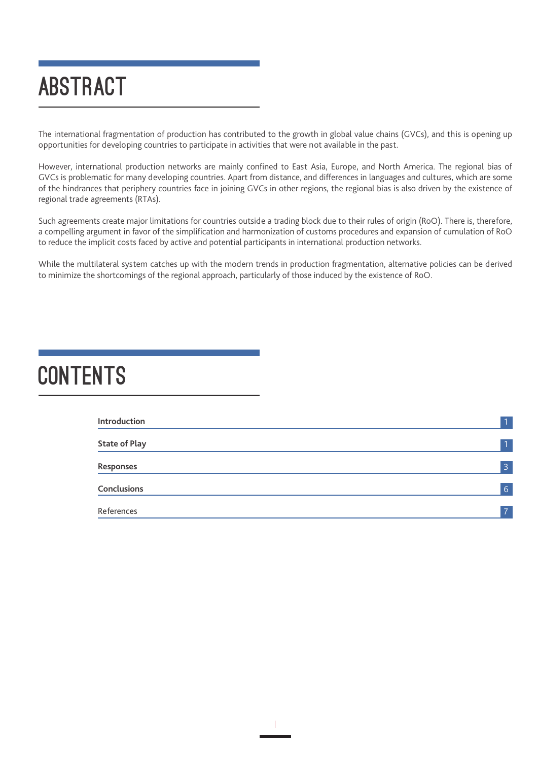## ABSTRACT

The international fragmentation of production has contributed to the growth in global value chains (GVCs), and this is opening up opportunities for developing countries to participate in activities that were not available in the past.

However, international production networks are mainly confined to East Asia, Europe, and North America. The regional bias of GVCs is problematic for many developing countries. Apart from distance, and differences in languages and cultures, which are some of the hindrances that periphery countries face in joining GVCs in other regions, the regional bias is also driven by the existence of regional trade agreements (RTAs).

Such agreements create major limitations for countries outside a trading block due to their rules of origin (RoO). There is, therefore, a compelling argument in favor of the simplification and harmonization of customs procedures and expansion of cumulation of RoO to reduce the implicit costs faced by active and potential participants in international production networks.

While the multilateral system catches up with the modern trends in production fragmentation, alternative policies can be derived to minimize the shortcomings of the regional approach, particularly of those induced by the existence of RoO.

### **CONTENTS**

| Introduction         | $\overline{1}$ |
|----------------------|----------------|
| <b>State of Play</b> | 11             |
| Responses            | $\overline{3}$ |
| Conclusions          | 6 <sub>1</sub> |
| References           | $\overline{z}$ |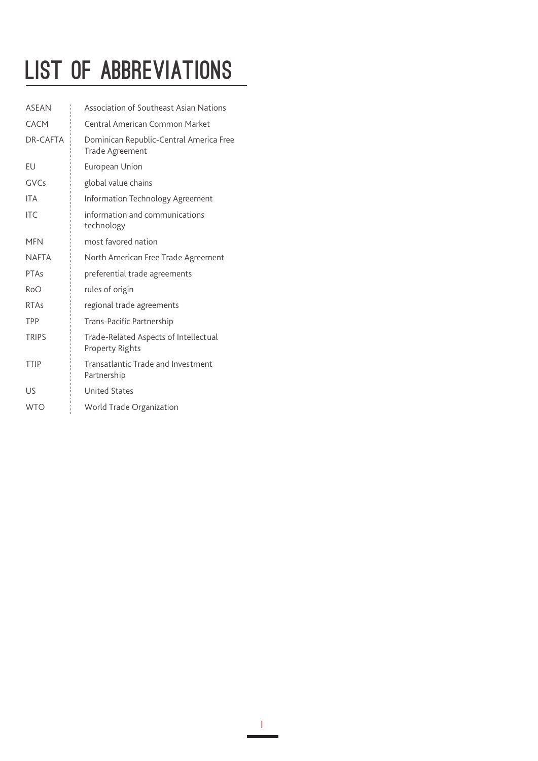## LIST OF ABBREVIATIONS

| <b>ASEAN</b> | Association of Southeast Asian Nations                     |
|--------------|------------------------------------------------------------|
| CACM         | Central American Common Market                             |
| DR-CAFTA     | Dominican Republic-Central America Free<br>Trade Agreement |
| EU           | European Union                                             |
| GVCs         | global value chains                                        |
| <b>ITA</b>   | Information Technology Agreement                           |
| <b>ITC</b>   | information and communications<br>technology               |
| <b>MFN</b>   | most favored nation                                        |
| <b>NAFTA</b> | North American Free Trade Agreement                        |
| PTAs         | preferential trade agreements                              |
| <b>RoO</b>   | rules of origin                                            |
| <b>RTAs</b>  | regional trade agreements                                  |
| TPP          | Trans-Pacific Partnership                                  |
| <b>TRIPS</b> | Trade-Related Aspects of Intellectual<br>Property Rights   |
| <b>TTIP</b>  | Transatlantic Trade and Investment<br>Partnership          |
| US           | <b>United States</b>                                       |
| <b>WTO</b>   | World Trade Organization                                   |
|              |                                                            |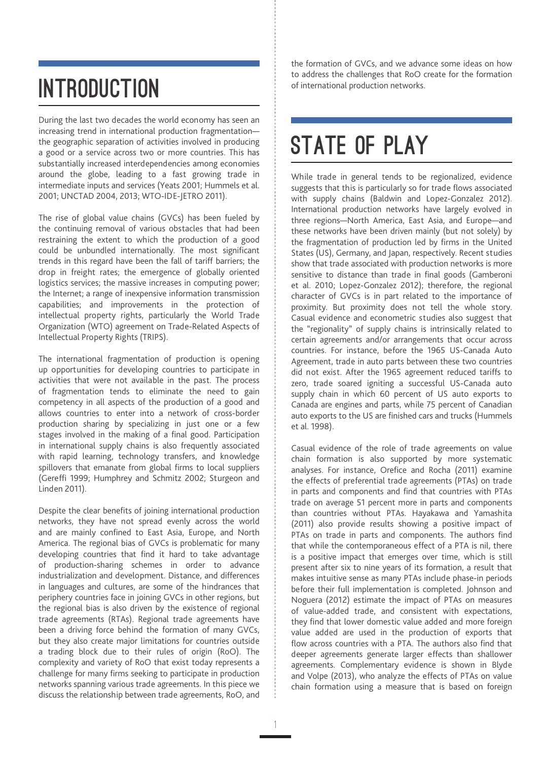## INTRODUCTION

During the last two decades the world economy has seen an increasing trend in international production fragmentation the geographic separation of activities involved in producing a good or a service across two or more countries. This has substantially increased interdependencies among economies around the globe, leading to a fast growing trade in intermediate inputs and services (Yeats 2001; Hummels et al. 2001; UNCTAD 2004, 2013; WTO-IDE-JETRO 2011).

The rise of global value chains (GVCs) has been fueled by the continuing removal of various obstacles that had been restraining the extent to which the production of a good could be unbundled internationally. The most significant trends in this regard have been the fall of tariff barriers; the drop in freight rates; the emergence of globally oriented logistics services; the massive increases in computing power; the Internet; a range of inexpensive information transmission capabilities; and improvements in the protection of intellectual property rights, particularly the World Trade Organization (WTO) agreement on Trade-Related Aspects of Intellectual Property Rights (TRIPS).

The international fragmentation of production is opening up opportunities for developing countries to participate in activities that were not available in the past. The process of fragmentation tends to eliminate the need to gain competency in all aspects of the production of a good and allows countries to enter into a network of cross-border production sharing by specializing in just one or a few stages involved in the making of a final good. Participation in international supply chains is also frequently associated with rapid learning, technology transfers, and knowledge spillovers that emanate from global firms to local suppliers (Gereffi 1999; Humphrey and Schmitz 2002; Sturgeon and Linden 2011).

Despite the clear benefits of joining international production networks, they have not spread evenly across the world and are mainly confined to East Asia, Europe, and North America. The regional bias of GVCs is problematic for many developing countries that find it hard to take advantage of production-sharing schemes in order to advance industrialization and development. Distance, and differences in languages and cultures, are some of the hindrances that periphery countries face in joining GVCs in other regions, but the regional bias is also driven by the existence of regional trade agreements (RTAs). Regional trade agreements have been a driving force behind the formation of many GVCs, but they also create major limitations for countries outside a trading block due to their rules of origin (RoO). The complexity and variety of RoO that exist today represents a challenge for many firms seeking to participate in production networks spanning various trade agreements. In this piece we discuss the relationship between trade agreements, RoO, and

the formation of GVCs, and we advance some ideas on how to address the challenges that RoO create for the formation

## STATE OF PLAY

While trade in general tends to be regionalized, evidence suggests that this is particularly so for trade flows associated with supply chains (Baldwin and Lopez-Gonzalez 2012). International production networks have largely evolved in three regions—North America, East Asia, and Europe—and these networks have been driven mainly (but not solely) by the fragmentation of production led by firms in the United States (US), Germany, and Japan, respectively. Recent studies show that trade associated with production networks is more sensitive to distance than trade in final goods (Gamberoni et al. 2010; Lopez-Gonzalez 2012); therefore, the regional character of GVCs is in part related to the importance of proximity. But proximity does not tell the whole story. Casual evidence and econometric studies also suggest that the "regionality" of supply chains is intrinsically related to certain agreements and/or arrangements that occur across countries. For instance, before the 1965 US-Canada Auto Agreement, trade in auto parts between these two countries did not exist. After the 1965 agreement reduced tariffs to zero, trade soared igniting a successful US-Canada auto supply chain in which 60 percent of US auto exports to Canada are engines and parts, while 75 percent of Canadian auto exports to the US are finished cars and trucks (Hummels et al. 1998).

Casual evidence of the role of trade agreements on value chain formation is also supported by more systematic analyses. For instance, Orefice and Rocha (2011) examine the effects of preferential trade agreements (PTAs) on trade in parts and components and find that countries with PTAs trade on average 51 percent more in parts and components than countries without PTAs. Hayakawa and Yamashita (2011) also provide results showing a positive impact of PTAs on trade in parts and components. The authors find that while the contemporaneous effect of a PTA is nil, there is a positive impact that emerges over time, which is still present after six to nine years of its formation, a result that makes intuitive sense as many PTAs include phase-in periods before their full implementation is completed. Johnson and Noguera (2012) estimate the impact of PTAs on measures of value-added trade, and consistent with expectations, they find that lower domestic value added and more foreign value added are used in the production of exports that flow across countries with a PTA. The authors also find that deeper agreements generate larger effects than shallower agreements. Complementary evidence is shown in Blyde and Volpe (2013), who analyze the effects of PTAs on value chain formation using a measure that is based on foreign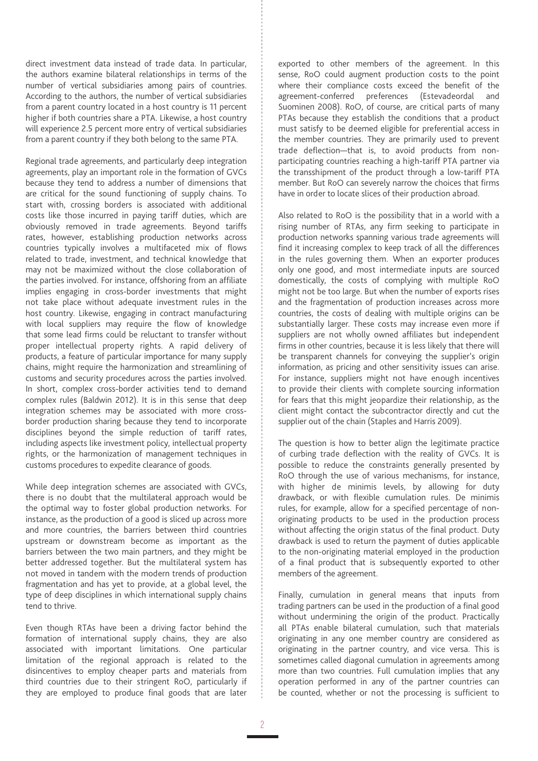direct investment data instead of trade data. In particular, the authors examine bilateral relationships in terms of the number of vertical subsidiaries among pairs of countries. According to the authors, the number of vertical subsidiaries from a parent country located in a host country is 11 percent higher if both countries share a PTA. Likewise, a host country will experience 2.5 percent more entry of vertical subsidiaries from a parent country if they both belong to the same PTA.

Regional trade agreements, and particularly deep integration agreements, play an important role in the formation of GVCs because they tend to address a number of dimensions that are critical for the sound functioning of supply chains. To start with, crossing borders is associated with additional costs like those incurred in paying tariff duties, which are obviously removed in trade agreements. Beyond tariffs rates, however, establishing production networks across countries typically involves a multifaceted mix of flows related to trade, investment, and technical knowledge that may not be maximized without the close collaboration of the parties involved. For instance, offshoring from an affiliate implies engaging in cross-border investments that might not take place without adequate investment rules in the host country. Likewise, engaging in contract manufacturing with local suppliers may require the flow of knowledge that some lead firms could be reluctant to transfer without proper intellectual property rights. A rapid delivery of products, a feature of particular importance for many supply chains, might require the harmonization and streamlining of customs and security procedures across the parties involved. In short, complex cross-border activities tend to demand complex rules (Baldwin 2012). It is in this sense that deep integration schemes may be associated with more crossborder production sharing because they tend to incorporate disciplines beyond the simple reduction of tariff rates, including aspects like investment policy, intellectual property rights, or the harmonization of management techniques in customs procedures to expedite clearance of goods.

While deep integration schemes are associated with GVCs, there is no doubt that the multilateral approach would be the optimal way to foster global production networks. For instance, as the production of a good is sliced up across more and more countries, the barriers between third countries upstream or downstream become as important as the barriers between the two main partners, and they might be better addressed together. But the multilateral system has not moved in tandem with the modern trends of production fragmentation and has yet to provide, at a global level, the type of deep disciplines in which international supply chains tend to thrive.

Even though RTAs have been a driving factor behind the formation of international supply chains, they are also associated with important limitations. One particular limitation of the regional approach is related to the disincentives to employ cheaper parts and materials from third countries due to their stringent RoO, particularly if they are employed to produce final goods that are later

exported to other members of the agreement. In this sense, RoO could augment production costs to the point where their compliance costs exceed the benefit of the agreement-conferred preferences (Estevadeordal and Suominen 2008). RoO, of course, are critical parts of many PTAs because they establish the conditions that a product must satisfy to be deemed eligible for preferential access in the member countries. They are primarily used to prevent trade deflection—that is, to avoid products from nonparticipating countries reaching a high-tariff PTA partner via the transshipment of the product through a low-tariff PTA member. But RoO can severely narrow the choices that firms have in order to locate slices of their production abroad.

Also related to RoO is the possibility that in a world with a rising number of RTAs, any firm seeking to participate in production networks spanning various trade agreements will find it increasing complex to keep track of all the differences in the rules governing them. When an exporter produces only one good, and most intermediate inputs are sourced domestically, the costs of complying with multiple RoO might not be too large. But when the number of exports rises and the fragmentation of production increases across more countries, the costs of dealing with multiple origins can be substantially larger. These costs may increase even more if suppliers are not wholly owned affiliates but independent firms in other countries, because it is less likely that there will be transparent channels for conveying the supplier's origin information, as pricing and other sensitivity issues can arise. For instance, suppliers might not have enough incentives to provide their clients with complete sourcing information for fears that this might jeopardize their relationship, as the client might contact the subcontractor directly and cut the supplier out of the chain (Staples and Harris 2009).

The question is how to better align the legitimate practice of curbing trade deflection with the reality of GVCs. It is possible to reduce the constraints generally presented by RoO through the use of various mechanisms, for instance, with higher de minimis levels, by allowing for duty drawback, or with flexible cumulation rules. De minimis rules, for example, allow for a specified percentage of nonoriginating products to be used in the production process without affecting the origin status of the final product. Duty drawback is used to return the payment of duties applicable to the non-originating material employed in the production of a final product that is subsequently exported to other members of the agreement.

Finally, cumulation in general means that inputs from trading partners can be used in the production of a final good without undermining the origin of the product. Practically all PTAs enable bilateral cumulation, such that materials originating in any one member country are considered as originating in the partner country, and vice versa. This is sometimes called diagonal cumulation in agreements among more than two countries. Full cumulation implies that any operation performed in any of the partner countries can be counted, whether or not the processing is sufficient to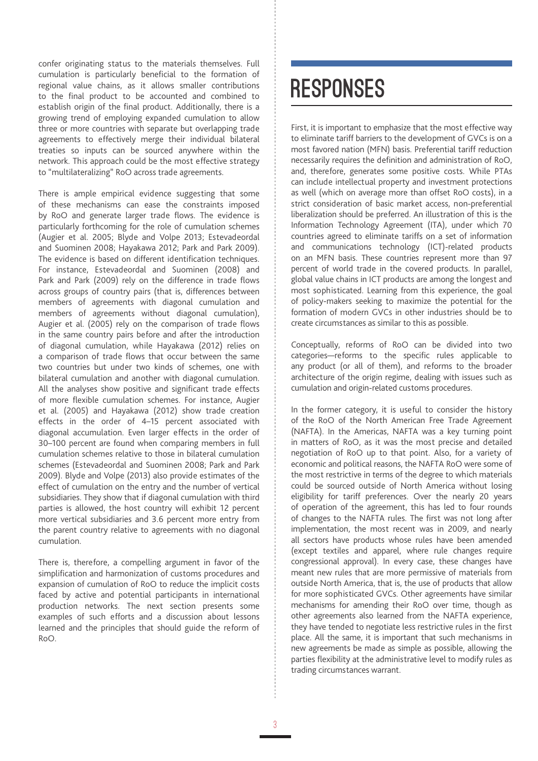confer originating status to the materials themselves. Full cumulation is particularly beneficial to the formation of regional value chains, as it allows smaller contributions to the final product to be accounted and combined to establish origin of the final product. Additionally, there is a growing trend of employing expanded cumulation to allow three or more countries with separate but overlapping trade agreements to effectively merge their individual bilateral treaties so inputs can be sourced anywhere within the network. This approach could be the most effective strategy to "multilateralizing" RoO across trade agreements.

There is ample empirical evidence suggesting that some of these mechanisms can ease the constraints imposed by RoO and generate larger trade flows. The evidence is particularly forthcoming for the role of cumulation schemes (Augier et al. 2005; Blyde and Volpe 2013; Estevadeordal and Suominen 2008; Hayakawa 2012; Park and Park 2009). The evidence is based on different identification techniques. For instance, Estevadeordal and Suominen (2008) and Park and Park (2009) rely on the difference in trade flows across groups of country pairs (that is, differences between members of agreements with diagonal cumulation and members of agreements without diagonal cumulation), Augier et al. (2005) rely on the comparison of trade flows in the same country pairs before and after the introduction of diagonal cumulation, while Hayakawa (2012) relies on a comparison of trade flows that occur between the same two countries but under two kinds of schemes, one with bilateral cumulation and another with diagonal cumulation. All the analyses show positive and significant trade effects of more flexible cumulation schemes. For instance, Augier et al. (2005) and Hayakawa (2012) show trade creation effects in the order of 4–15 percent associated with diagonal accumulation. Even larger effects in the order of 30–100 percent are found when comparing members in full cumulation schemes relative to those in bilateral cumulation schemes (Estevadeordal and Suominen 2008; Park and Park 2009). Blyde and Volpe (2013) also provide estimates of the effect of cumulation on the entry and the number of vertical subsidiaries. They show that if diagonal cumulation with third parties is allowed, the host country will exhibit 12 percent more vertical subsidiaries and 3.6 percent more entry from the parent country relative to agreements with no diagonal cumulation.

There is, therefore, a compelling argument in favor of the simplification and harmonization of customs procedures and expansion of cumulation of RoO to reduce the implicit costs faced by active and potential participants in international production networks. The next section presents some examples of such efforts and a discussion about lessons learned and the principles that should guide the reform of RoO.

### **RESPONSES**

First, it is important to emphasize that the most effective way to eliminate tariff barriers to the development of GVCs is on a most favored nation (MFN) basis. Preferential tariff reduction necessarily requires the definition and administration of RoO, and, therefore, generates some positive costs. While PTAs can include intellectual property and investment protections as well (which on average more than offset RoO costs), in a strict consideration of basic market access, non-preferential liberalization should be preferred. An illustration of this is the Information Technology Agreement (ITA), under which 70 countries agreed to eliminate tariffs on a set of information and communications technology (ICT)-related products on an MFN basis. These countries represent more than 97 percent of world trade in the covered products. In parallel, global value chains in ICT products are among the longest and most sophisticated. Learning from this experience, the goal of policy-makers seeking to maximize the potential for the formation of modern GVCs in other industries should be to create circumstances as similar to this as possible.

Conceptually, reforms of RoO can be divided into two categories—reforms to the specific rules applicable to any product (or all of them), and reforms to the broader architecture of the origin regime, dealing with issues such as cumulation and origin-related customs procedures.

In the former category, it is useful to consider the history of the RoO of the North American Free Trade Agreement (NAFTA). In the Americas, NAFTA was a key turning point in matters of RoO, as it was the most precise and detailed negotiation of RoO up to that point. Also, for a variety of economic and political reasons, the NAFTA RoO were some of the most restrictive in terms of the degree to which materials could be sourced outside of North America without losing eligibility for tariff preferences. Over the nearly 20 years of operation of the agreement, this has led to four rounds of changes to the NAFTA rules. The first was not long after implementation, the most recent was in 2009, and nearly all sectors have products whose rules have been amended (except textiles and apparel, where rule changes require congressional approval). In every case, these changes have meant new rules that are more permissive of materials from outside North America, that is, the use of products that allow for more sophisticated GVCs. Other agreements have similar mechanisms for amending their RoO over time, though as other agreements also learned from the NAFTA experience, they have tended to negotiate less restrictive rules in the first place. All the same, it is important that such mechanisms in new agreements be made as simple as possible, allowing the parties flexibility at the administrative level to modify rules as trading circumstances warrant.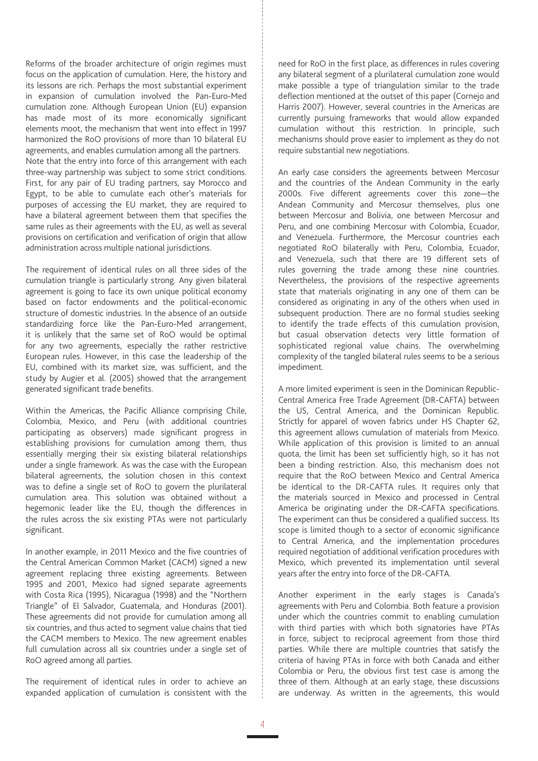Reforms of the broader architecture of origin regimes must focus on the application of cumulation. Here, the history and its lessons are rich. Perhaps the most substantial experiment in expansion of cumulation involved the Pan-Euro-Med cumulation zone. Although European Union (EU) expansion has made most of its more economically significant elements moot, the mechanism that went into effect in 1997 harmonized the RoO provisions of more than 10 bilateral EU agreements, and enables cumulation among all the partners. Note that the entry into force of this arrangement with each three-way partnership was subject to some strict conditions. First, for any pair of EU trading partners, say Morocco and Egypt, to be able to cumulate each other's materials for purposes of accessing the EU market, they are required to have a bilateral agreement between them that specifies the same rules as their agreements with the EU, as well as several provisions on certification and verification of origin that allow administration across multiple national jurisdictions.

The requirement of identical rules on all three sides of the cumulation triangle is particularly strong. Any given bilateral agreement is going to face its own unique political economy based on factor endowments and the political-economic structure of domestic industries. In the absence of an outside standardizing force like the Pan-Euro-Med arrangement, it is unlikely that the same set of RoO would be optimal for any two agreements, especially the rather restrictive European rules. However, in this case the leadership of the EU, combined with its market size, was sufficient, and the study by Augier et al. (2005) showed that the arrangement generated significant trade benefits.

Within the Americas, the Pacific Alliance comprising Chile, Colombia, Mexico, and Peru (with additional countries participating as observers) made significant progress in establishing provisions for cumulation among them, thus essentially merging their six existing bilateral relationships under a single framework. As was the case with the European bilateral agreements, the solution chosen in this context was to define a single set of RoO to govern the plurilateral cumulation area. This solution was obtained without a hegemonic leader like the EU, though the differences in the rules across the six existing PTAs were not particularly significant.

In another example, in 2011 Mexico and the five countries of the Central American Common Market (CACM) signed a new agreement replacing three existing agreements. Between 1995 and 2001, Mexico had signed separate agreements with Costa Rica (1995), Nicaragua (1998) and the "Northern Triangle" of El Salvador, Guatemala, and Honduras (2001). These agreements did not provide for cumulation among all six countries, and thus acted to segment value chains that tied the CACM members to Mexico. The new agreement enables full cumulation across all six countries under a single set of RoO agreed among all parties.

The requirement of identical rules in order to achieve an expanded application of cumulation is consistent with the need for RoO in the first place, as differences in rules covering any bilateral segment of a plurilateral cumulation zone would make possible a type of triangulation similar to the trade deflection mentioned at the outset of this paper (Cornejo and Harris 2007). However, several countries in the Americas are currently pursuing frameworks that would allow expanded cumulation without this restriction. In principle, such mechanisms should prove easier to implement as they do not require substantial new negotiations.

An early case considers the agreements between Mercosur and the countries of the Andean Community in the early 2000s. Five different agreements cover this zone—the Andean Community and Mercosur themselves, plus one between Mercosur and Bolivia, one between Mercosur and Peru, and one combining Mercosur with Colombia, Ecuador, and Venezuela. Furthermore, the Mercosur countries each negotiated RoO bilaterally with Peru, Colombia, Ecuador, and Venezuela, such that there are 19 different sets of rules governing the trade among these nine countries. Nevertheless, the provisions of the respective agreements state that materials originating in any one of them can be considered as originating in any of the others when used in subsequent production. There are no formal studies seeking to identify the trade effects of this cumulation provision, but casual observation detects very little formation of sophisticated regional value chains. The overwhelming complexity of the tangled bilateral rules seems to be a serious impediment.

A more limited experiment is seen in the Dominican Republic-Central America Free Trade Agreement (DR-CAFTA) between the US, Central America, and the Dominican Republic. Strictly for apparel of woven fabrics under HS Chapter 62, this agreement allows cumulation of materials from Mexico. While application of this provision is limited to an annual quota, the limit has been set sufficiently high, so it has not been a binding restriction. Also, this mechanism does not require that the RoO between Mexico and Central America be identical to the DR-CAFTA rules. It requires only that the materials sourced in Mexico and processed in Central America be originating under the DR-CAFTA specifications. The experiment can thus be considered a qualified success. Its scope is limited though to a sector of economic significance to Central America, and the implementation procedures required negotiation of additional verification procedures with Mexico, which prevented its implementation until several years after the entry into force of the DR-CAFTA.

Another experiment in the early stages is Canada's agreements with Peru and Colombia. Both feature a provision under which the countries commit to enabling cumulation with third parties with which both signatories have PTAs in force, subject to reciprocal agreement from those third parties. While there are multiple countries that satisfy the criteria of having PTAs in force with both Canada and either Colombia or Peru, the obvious first test case is among the three of them. Although at an early stage, these discussions are underway. As written in the agreements, this would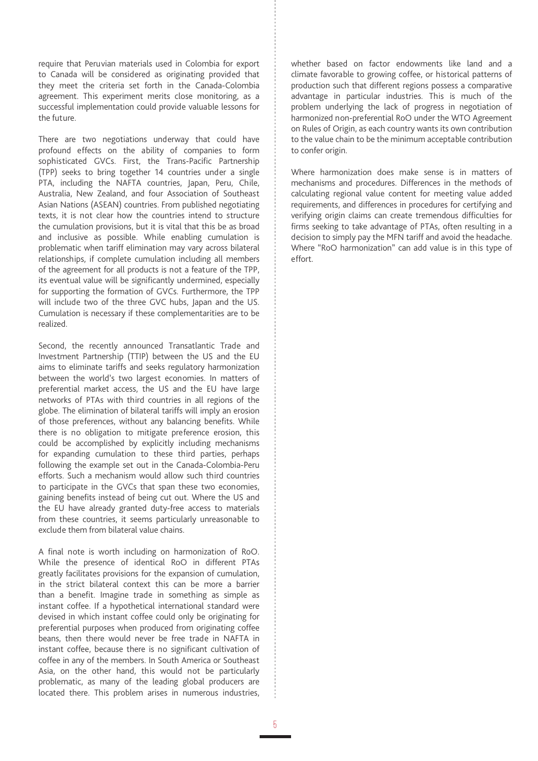require that Peruvian materials used in Colombia for export to Canada will be considered as originating provided that they meet the criteria set forth in the Canada-Colombia agreement. This experiment merits close monitoring, as a successful implementation could provide valuable lessons for the future.

There are two negotiations underway that could have profound effects on the ability of companies to form sophisticated GVCs. First, the Trans-Pacific Partnership (TPP) seeks to bring together 14 countries under a single PTA, including the NAFTA countries, Japan, Peru, Chile, Australia, New Zealand, and four Association of Southeast Asian Nations (ASEAN) countries. From published negotiating texts, it is not clear how the countries intend to structure the cumulation provisions, but it is vital that this be as broad and inclusive as possible. While enabling cumulation is problematic when tariff elimination may vary across bilateral relationships, if complete cumulation including all members of the agreement for all products is not a feature of the TPP, its eventual value will be significantly undermined, especially for supporting the formation of GVCs. Furthermore, the TPP will include two of the three GVC hubs, Japan and the US. Cumulation is necessary if these complementarities are to be realized.

Second, the recently announced Transatlantic Trade and Investment Partnership (TTIP) between the US and the EU aims to eliminate tariffs and seeks regulatory harmonization between the world's two largest economies. In matters of preferential market access, the US and the EU have large networks of PTAs with third countries in all regions of the globe. The elimination of bilateral tariffs will imply an erosion of those preferences, without any balancing benefits. While there is no obligation to mitigate preference erosion, this could be accomplished by explicitly including mechanisms for expanding cumulation to these third parties, perhaps following the example set out in the Canada-Colombia-Peru efforts. Such a mechanism would allow such third countries to participate in the GVCs that span these two economies, gaining benefits instead of being cut out. Where the US and the EU have already granted duty-free access to materials from these countries, it seems particularly unreasonable to exclude them from bilateral value chains.

A final note is worth including on harmonization of RoO. While the presence of identical RoO in different PTAs greatly facilitates provisions for the expansion of cumulation, in the strict bilateral context this can be more a barrier than a benefit. Imagine trade in something as simple as instant coffee. If a hypothetical international standard were devised in which instant coffee could only be originating for preferential purposes when produced from originating coffee beans, then there would never be free trade in NAFTA in instant coffee, because there is no significant cultivation of coffee in any of the members. In South America or Southeast Asia, on the other hand, this would not be particularly problematic, as many of the leading global producers are located there. This problem arises in numerous industries,

whether based on factor endowments like land and a climate favorable to growing coffee, or historical patterns of production such that different regions possess a comparative advantage in particular industries. This is much of the problem underlying the lack of progress in negotiation of harmonized non-preferential RoO under the WTO Agreement on Rules of Origin, as each country wants its own contribution to the value chain to be the minimum acceptable contribution to confer origin.

Where harmonization does make sense is in matters of mechanisms and procedures. Differences in the methods of calculating regional value content for meeting value added requirements, and differences in procedures for certifying and verifying origin claims can create tremendous difficulties for firms seeking to take advantage of PTAs, often resulting in a decision to simply pay the MFN tariff and avoid the headache. Where "RoO harmonization" can add value is in this type of effort.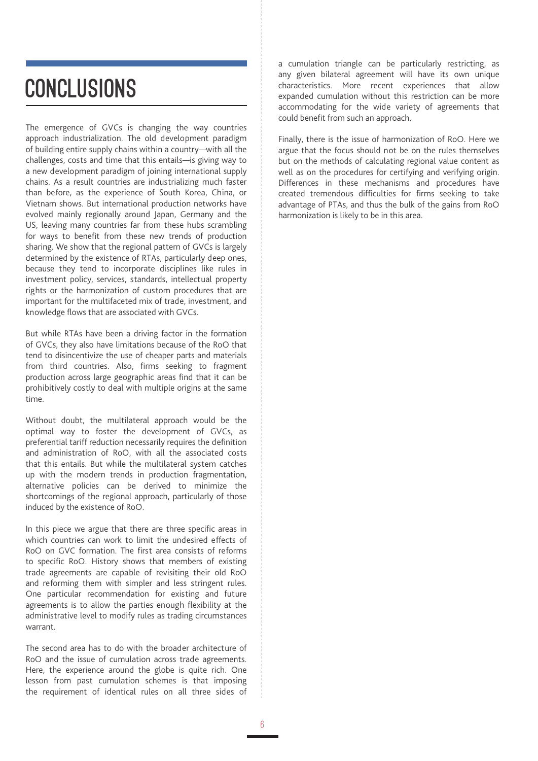## **CONCLUSIONS**

The emergence of GVCs is changing the way countries approach industrialization. The old development paradigm of building entire supply chains within a country—with all the challenges, costs and time that this entails—is giving way to a new development paradigm of joining international supply chains. As a result countries are industrializing much faster than before, as the experience of South Korea, China, or Vietnam shows. But international production networks have evolved mainly regionally around Japan, Germany and the US, leaving many countries far from these hubs scrambling for ways to benefit from these new trends of production sharing. We show that the regional pattern of GVCs is largely determined by the existence of RTAs, particularly deep ones, because they tend to incorporate disciplines like rules in investment policy, services, standards, intellectual property rights or the harmonization of custom procedures that are important for the multifaceted mix of trade, investment, and knowledge flows that are associated with GVCs.

But while RTAs have been a driving factor in the formation of GVCs, they also have limitations because of the RoO that tend to disincentivize the use of cheaper parts and materials from third countries. Also, firms seeking to fragment production across large geographic areas find that it can be prohibitively costly to deal with multiple origins at the same time.

Without doubt, the multilateral approach would be the optimal way to foster the development of GVCs, as preferential tariff reduction necessarily requires the definition and administration of RoO, with all the associated costs that this entails. But while the multilateral system catches up with the modern trends in production fragmentation, alternative policies can be derived to minimize the shortcomings of the regional approach, particularly of those induced by the existence of RoO.

In this piece we argue that there are three specific areas in which countries can work to limit the undesired effects of RoO on GVC formation. The first area consists of reforms to specific RoO. History shows that members of existing trade agreements are capable of revisiting their old RoO and reforming them with simpler and less stringent rules. One particular recommendation for existing and future agreements is to allow the parties enough flexibility at the administrative level to modify rules as trading circumstances warrant.

The second area has to do with the broader architecture of RoO and the issue of cumulation across trade agreements. Here, the experience around the globe is quite rich. One lesson from past cumulation schemes is that imposing the requirement of identical rules on all three sides of a cumulation triangle can be particularly restricting, as any given bilateral agreement will have its own unique characteristics. More recent experiences that allow expanded cumulation without this restriction can be more accommodating for the wide variety of agreements that could benefit from such an approach.

Finally, there is the issue of harmonization of RoO. Here we argue that the focus should not be on the rules themselves but on the methods of calculating regional value content as well as on the procedures for certifying and verifying origin. Differences in these mechanisms and procedures have created tremendous difficulties for firms seeking to take advantage of PTAs, and thus the bulk of the gains from RoO harmonization is likely to be in this area.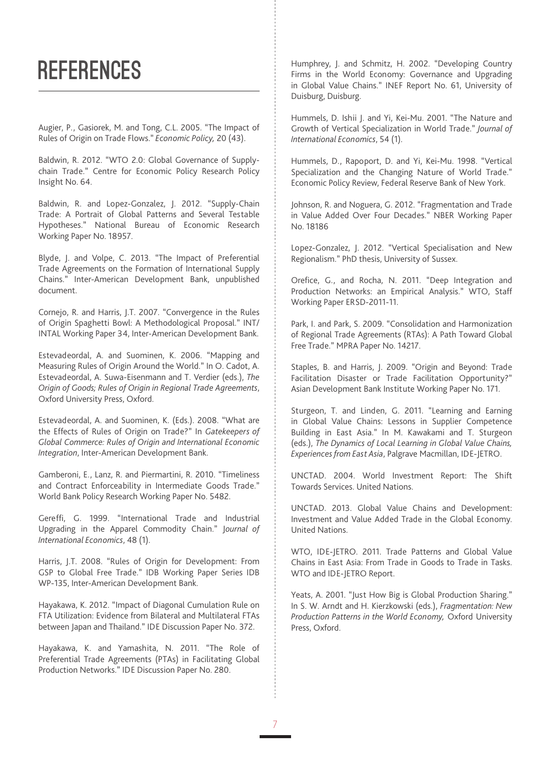### **REFERENCES**

Augier, P., Gasiorek, M. and Tong, C.L. 2005. "The Impact of Rules of Origin on Trade Flows." *Economic Policy,* 20 (43).

Baldwin, R. 2012. "WTO 2.0: Global Governance of Supplychain Trade." Centre for Economic Policy Research Policy Insight No. 64.

Baldwin, R. and Lopez-Gonzalez, J. 2012. "Supply-Chain Trade: A Portrait of Global Patterns and Several Testable Hypotheses." National Bureau of Economic Research Working Paper No. 18957.

Blyde, J. and Volpe, C. 2013. "The Impact of Preferential Trade Agreements on the Formation of International Supply Chains." Inter-American Development Bank, unpublished document.

Cornejo, R. and Harris, J.T. 2007. "Convergence in the Rules of Origin Spaghetti Bowl: A Methodological Proposal." INT/ INTAL Working Paper 34, Inter-American Development Bank.

Estevadeordal, A. and Suominen, K. 2006. "Mapping and Measuring Rules of Origin Around the World." In O. Cadot, A. Estevadeordal, A. Suwa-Eisenmann and T. Verdier (eds.), *The Origin of Goods; Rules of Origin in Regional Trade Agreements*, Oxford University Press, Oxford.

Estevadeordal, A. and Suominen, K. (Eds.). 2008. "What are the Effects of Rules of Origin on Trade?" In *Gatekeepers of Global Commerce: Rules of Origin and International Economic Integration*, Inter-American Development Bank.

Gamberoni, E., Lanz, R. and Piermartini, R. 2010. "Timeliness and Contract Enforceability in Intermediate Goods Trade." World Bank Policy Research Working Paper No. 5482.

Gereffi, G. 1999. "International Trade and Industrial Upgrading in the Apparel Commodity Chain." J*ournal of International Economics*, 48 (1).

Harris, J.T. 2008. "Rules of Origin for Development: From GSP to Global Free Trade." IDB Working Paper Series IDB WP-135, Inter-American Development Bank.

Hayakawa, K. 2012. "Impact of Diagonal Cumulation Rule on FTA Utilization: Evidence from Bilateral and Multilateral FTAs between Japan and Thailand." IDE Discussion Paper No. 372.

Hayakawa, K. and Yamashita, N. 2011. "The Role of Preferential Trade Agreements (PTAs) in Facilitating Global Production Networks." IDE Discussion Paper No. 280.

Humphrey, J. and Schmitz, H. 2002. "Developing Country Firms in the World Economy: Governance and Upgrading in Global Value Chains." INEF Report No. 61, University of Duisburg, Duisburg.

Hummels, D. Ishii J. and Yi, Kei-Mu. 2001. "The Nature and Growth of Vertical Specialization in World Trade." *Journal of International Economics*, 54 (1).

Hummels, D., Rapoport, D. and Yi, Kei-Mu. 1998. "Vertical Specialization and the Changing Nature of World Trade." Economic Policy Review, Federal Reserve Bank of New York.

Johnson, R. and Noguera, G. 2012. "Fragmentation and Trade in Value Added Over Four Decades." NBER Working Paper No. 18186

Lopez-Gonzalez, J. 2012. "Vertical Specialisation and New Regionalism." PhD thesis, University of Sussex.

Orefice, G., and Rocha, N. 2011. "Deep Integration and Production Networks: an Empirical Analysis." WTO, Staff Working Paper ERSD-2011-11.

Park, I. and Park, S. 2009. "Consolidation and Harmonization of Regional Trade Agreements (RTAs): A Path Toward Global Free Trade." MPRA Paper No. 14217.

Staples, B. and Harris, J. 2009. "Origin and Beyond: Trade Facilitation Disaster or Trade Facilitation Opportunity?" Asian Development Bank Institute Working Paper No. 171.

Sturgeon, T. and Linden, G. 2011. "Learning and Earning in Global Value Chains: Lessons in Supplier Competence Building in East Asia." In M. Kawakami and T. Sturgeon (eds.), *The Dynamics of Local Learning in Global Value Chains, Experiences from East Asia*, Palgrave Macmillan, IDE-JETRO.

UNCTAD. 2004. World Investment Report: The Shift Towards Services. United Nations.

UNCTAD. 2013. Global Value Chains and Development: Investment and Value Added Trade in the Global Economy. United Nations.

WTO, IDE-JETRO. 2011. Trade Patterns and Global Value Chains in East Asia: From Trade in Goods to Trade in Tasks. WTO and IDE-JETRO Report.

Yeats, A. 2001. "Just How Big is Global Production Sharing." In S. W. Arndt and H. Kierzkowski (eds.), *Fragmentation: New Production Patterns in the World Economy,* Oxford University Press, Oxford.